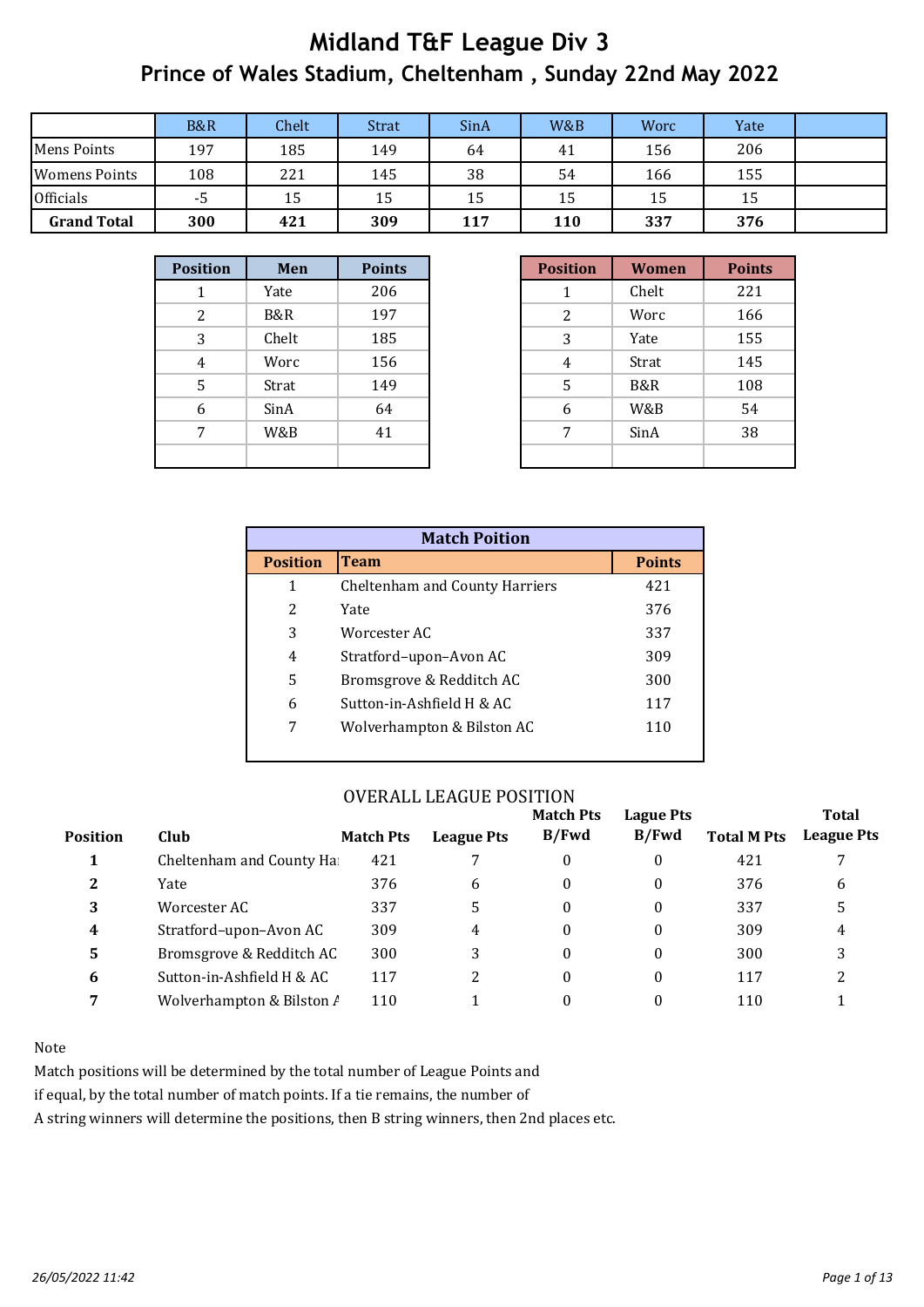|                      | <b>B&amp;R</b> | Chelt | <b>Strat</b> | SinA | W&B | Worc | Yate |  |
|----------------------|----------------|-------|--------------|------|-----|------|------|--|
| Mens Points          | 197            | 185   | 149          | 64   | 41  | 156  | 206  |  |
| <b>Womens Points</b> | 108            | 221   | 145          | 38   | 54  | 166  | 155  |  |
| <b>Officials</b>     | -5             | 15    | 15           | 15   | 15  | 15   | 15   |  |
| <b>Grand Total</b>   | 300            | 421   | 309          | 117  | 110 | 337  | 376  |  |

| <b>Position</b> | Men   | <b>Points</b> |
|-----------------|-------|---------------|
|                 | Yate  | 206           |
| 2               | B&R   | 197           |
| 3               | Chelt | 185           |
| $\overline{4}$  | Worc  | 156           |
| 5               | Strat | 149           |
| 6               | SinA  | 64            |
| 7               | W&B   | 41            |
|                 |       |               |

| ition | Men   | <b>Points</b> |
|-------|-------|---------------|
| 1     | Yate  | 206           |
| 2     | B&R   | 197           |
| 3     | Chelt | 185           |
| 4     | Worc  | 156           |
| 5     | Strat | 149           |
| 6     | SinA  | 64            |
| 7     | W&B   | 41            |
|       |       |               |

| <b>Match Poition</b> |                                |               |  |  |  |  |  |  |  |  |  |
|----------------------|--------------------------------|---------------|--|--|--|--|--|--|--|--|--|
| <b>Position</b>      | <b>Team</b>                    | <b>Points</b> |  |  |  |  |  |  |  |  |  |
| 1                    | Cheltenham and County Harriers | 421           |  |  |  |  |  |  |  |  |  |
| 2                    | Yate                           | 376           |  |  |  |  |  |  |  |  |  |
| 3                    | Worcester AC                   | 337           |  |  |  |  |  |  |  |  |  |
| 4                    | Stratford-upon-Avon AC         | 309           |  |  |  |  |  |  |  |  |  |
| 5                    | Bromsgrove & Redditch AC       | 300           |  |  |  |  |  |  |  |  |  |
| 6                    | Sutton-in-Ashfield H & AC      | 117           |  |  |  |  |  |  |  |  |  |
| 7                    | Wolverhampton & Bilston AC     | 110           |  |  |  |  |  |  |  |  |  |
|                      |                                |               |  |  |  |  |  |  |  |  |  |

#### OVERALL LEAGUE POSITION

|                 |                           |                  |                   | <b>Match Pts</b> | Lague Pts        |                    | <b>Total</b>      |
|-----------------|---------------------------|------------------|-------------------|------------------|------------------|--------------------|-------------------|
| <b>Position</b> | Club                      | <b>Match Pts</b> | <b>League Pts</b> | B/Fwd            | B/Fwd            | <b>Total M Pts</b> | <b>League Pts</b> |
|                 | Cheltenham and County Ha  | 421              |                   | 0                | 0                | 421                |                   |
| 2               | Yate                      | 376              | 6                 | 0                | 0                | 376                | 6                 |
| 3               | Worcester AC              | 337              | 5.                | 0                | $\boldsymbol{0}$ | 337                |                   |
| 4               | Stratford-upon-Avon AC    | 309              | 4                 | 0                | 0                | 309                | 4                 |
| 5               | Bromsgrove & Redditch AC  | 300              |                   | 0                | $\theta$         | 300                |                   |
| 6               | Sutton-in-Ashfield H & AC | 117              |                   | 0                | 0                | 117                |                   |
| 7               | Wolverhampton & Bilston / | 110              |                   | 0                |                  | 110                |                   |

#### Note

Match positions will be determined by the total number of League Points and

if equal, by the total number of match points. If a tie remains, the number of

A string winners will determine the positions, then B string winners, then 2nd places etc.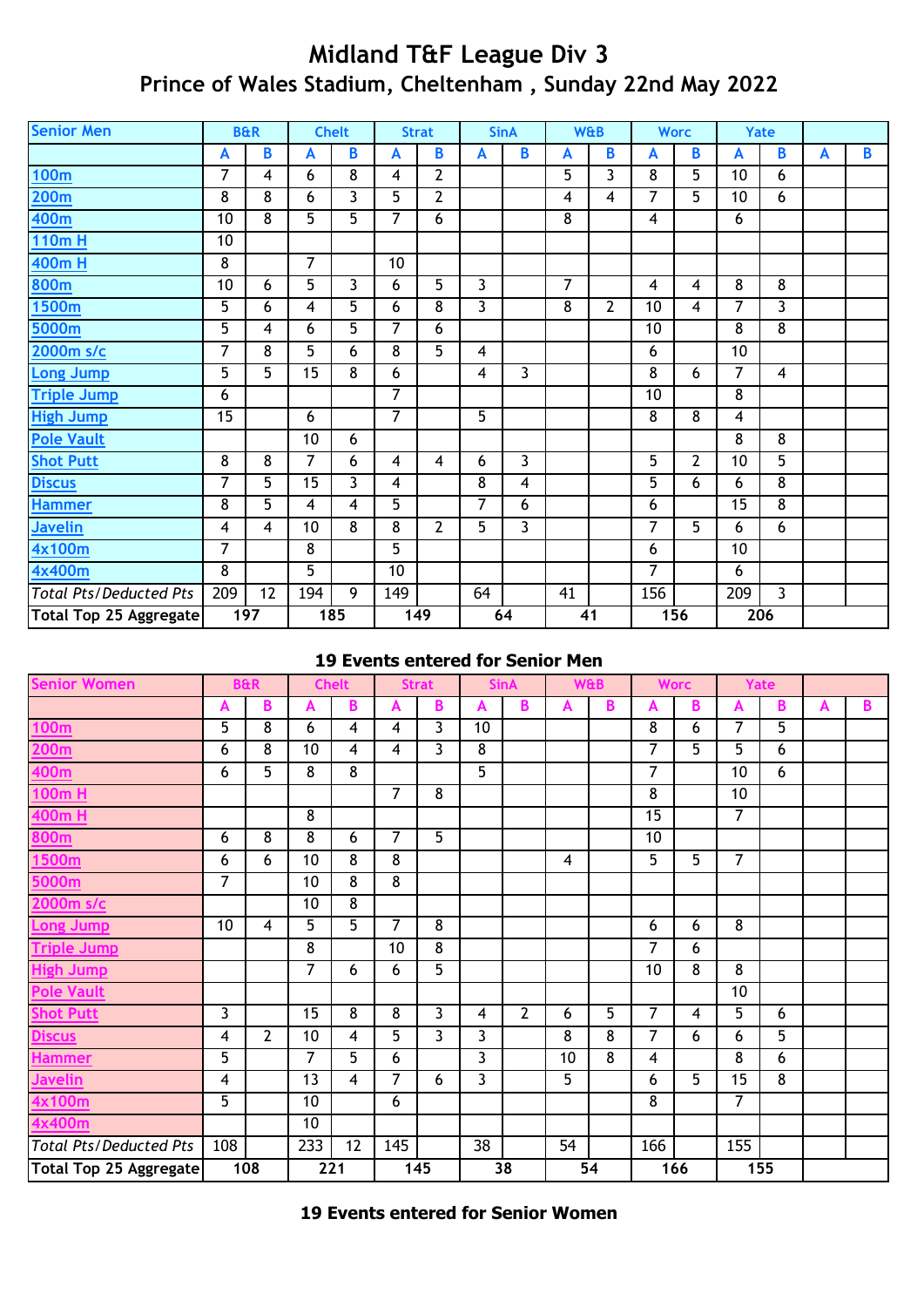| <b>Senior Men</b>             |                | <b>B&amp;R</b> |                 | <b>Chelt</b>            |                 | <b>Strat</b>   |              | <b>SinA</b> |    | <b>W&amp;B</b> |                         | <b>Worc</b>    | Yate           |                |   |                |
|-------------------------------|----------------|----------------|-----------------|-------------------------|-----------------|----------------|--------------|-------------|----|----------------|-------------------------|----------------|----------------|----------------|---|----------------|
|                               | A              | B              | A               | В                       | A               | B              | $\mathsf{A}$ | B           | A  | B              | A                       | B              | A              | $\overline{B}$ | A | $\overline{B}$ |
| 100m                          | 7              | $\overline{4}$ | 6               | 8                       | 4               | $\overline{2}$ |              |             | 5  | 3              | 8                       | 5              | 10             | 6              |   |                |
| <u>200m</u>                   | 8              | 8              | 6               | 3                       | 5               | $\mathbf{2}$   |              |             | 4  | 4              | 7                       | 5              | 10             | 6              |   |                |
| 400m                          | 10             | 8              | $\overline{5}$  | $\overline{5}$          | $\overline{7}$  | 6              |              |             | 8  |                | $\overline{\mathbf{4}}$ |                | 6              |                |   |                |
| 110m H                        | 10             |                |                 |                         |                 |                |              |             |    |                |                         |                |                |                |   |                |
| <b>400m H</b>                 | 8              |                | $\overline{7}$  |                         | 10              |                |              |             |    |                |                         |                |                |                |   |                |
| 800m                          | 10             | 6              | 5               | 3                       | 6               | 5              | 3            |             | 7  |                | 4                       | $\overline{4}$ | 8              | 8              |   |                |
| <u>1500m</u>                  | 5              | 6              | 4               | 5                       | 6               | 8              | 3            |             | 8  | $\overline{2}$ | 10                      | 4              | 7              | 3              |   |                |
| 5000m                         | 5              | 4              | 6               | 5                       | $\overline{7}$  | 6              |              |             |    |                | 10                      |                | 8              | 8              |   |                |
| 2000m s/c                     | 7              | $\overline{8}$ | $\overline{5}$  | 6                       | 8               | $\overline{5}$ | 4            |             |    |                | 6                       |                | 10             |                |   |                |
| Long Jump                     | 5              | 5              | $\overline{15}$ | $\overline{8}$          | 6               |                | 4            | 3           |    |                | $\overline{8}$          | 6              | 7              | 4              |   |                |
| <b>Triple Jump</b>            | 6              |                |                 |                         | $\overline{7}$  |                |              |             |    |                | 10                      |                | 8              |                |   |                |
| <b>High Jump</b>              | 15             |                | 6               |                         | $\overline{7}$  |                | 5            |             |    |                | 8                       | 8              | $\overline{4}$ |                |   |                |
| <b>Pole Vault</b>             |                |                | 10              | 6                       |                 |                |              |             |    |                |                         |                | 8              | 8              |   |                |
| <b>Shot Putt</b>              | 8              | 8              | $\overline{7}$  | 6                       | 4               | $\overline{4}$ | 6            | 3           |    |                | 5                       | $\overline{2}$ | 10             | 5              |   |                |
| <b>Discus</b>                 | 7              | 5              | $\overline{15}$ | $\overline{3}$          | 4               |                | 8            | 4           |    |                | 5                       | $6\phantom{a}$ | 6              | $\overline{8}$ |   |                |
| <b>Hammer</b>                 | 8              | 5              | $\overline{4}$  | $\overline{\mathbf{4}}$ | 5               |                | 7            | 6           |    |                | 6                       |                | 15             | 8              |   |                |
| <b>Javelin</b>                | 4              | $\overline{4}$ | 10              | 8                       | 8               | $\overline{2}$ | 5            | 3           |    |                | 7                       | 5              | 6              | 6              |   |                |
| 4x100m                        | 7              |                | 8               |                         | $\overline{5}$  |                |              |             |    |                | 6                       |                | 10             |                |   |                |
| 4x400m                        | $\overline{8}$ |                | $\overline{5}$  |                         | $\overline{10}$ |                |              |             |    |                | $\overline{7}$          |                | 6              |                |   |                |
| <b>Total Pts/Deducted Pts</b> | 209            | 12             | 194             | 9                       | 149             |                | 64           |             | 41 |                | 156                     |                | 209            | 3              |   |                |
| Total Top 25 Aggregate        |                | 197            |                 | 185                     |                 | 149            |              | 64          | 41 |                |                         | 156            | 206            |                |   |                |

#### **19 Events entered for Senior Men**

| <b>Senior Women</b>           |                         | <b>B&amp;R</b> |                 | <b>Chelt</b>            |                | <b>Strat</b>            |                | <b>SinA</b>    |    | <b>W&amp;B</b>  |                 | <b>Worc</b>    |                 | Yate |   |   |
|-------------------------------|-------------------------|----------------|-----------------|-------------------------|----------------|-------------------------|----------------|----------------|----|-----------------|-----------------|----------------|-----------------|------|---|---|
|                               | А                       | B              | A               | B                       | A              | B                       | A              | B              | A  | B               | A               | B              | $\mathbf{A}$    | B    | A | B |
| 100m                          | 5                       | $\overline{8}$ | 6               | 4                       | 4              | 3                       | 10             |                |    |                 | $\overline{8}$  | 6              | $\overline{7}$  | 5    |   |   |
| <b>200m</b>                   | 6                       | $\overline{8}$ | $\overline{10}$ | 4                       | 4              | $\overline{\mathbf{3}}$ | $\overline{8}$ |                |    |                 | 7               | $\overline{5}$ | $\overline{5}$  | 6    |   |   |
| 400m                          | 6                       | 5              | 8               | $\overline{8}$          |                |                         | 5              |                |    |                 | $\overline{7}$  |                | 10              | 6    |   |   |
| 100m H                        |                         |                |                 |                         | $\overline{7}$ | 8                       |                |                |    |                 | $\overline{8}$  |                | 10              |      |   |   |
| 400m H                        |                         |                | 8               |                         |                |                         |                |                |    |                 | 15              |                | $\overline{7}$  |      |   |   |
| 800m                          | 6                       | $\overline{8}$ | 8               | 6                       | $\overline{7}$ | 5                       |                |                |    |                 | $\overline{10}$ |                |                 |      |   |   |
| <u>1500m</u>                  | 6                       | 6              | $\overline{10}$ | $\overline{8}$          | $\overline{8}$ |                         |                |                | 4  |                 | $\overline{5}$  | $\overline{5}$ | $\overline{7}$  |      |   |   |
| 5000m                         | 7                       |                | 10              | 8                       | 8              |                         |                |                |    |                 |                 |                |                 |      |   |   |
| 2000m s/c                     |                         |                | 10              | $\overline{8}$          |                |                         |                |                |    |                 |                 |                |                 |      |   |   |
| Long Jump                     | 10                      | $\overline{4}$ | 5               | $\overline{5}$          | $\overline{7}$ | 8                       |                |                |    |                 | 6               | 6              | 8               |      |   |   |
| <b>Triple Jump</b>            |                         |                | 8               |                         | 10             | $\overline{8}$          |                |                |    |                 | 7               | 6              |                 |      |   |   |
| <b>High Jump</b>              |                         |                | 7               | 6                       | 6              | 5                       |                |                |    |                 | 10              | 8              | 8               |      |   |   |
| <b>Pole Vault</b>             |                         |                |                 |                         |                |                         |                |                |    |                 |                 |                | 10              |      |   |   |
| <b>Shot Putt</b>              | 3                       |                | 15              | 8                       | 8              | $\mathbf{3}$            | 4              | $\overline{2}$ | 6  | $\overline{5}$  | 7               | 4              | $\overline{5}$  | 6    |   |   |
| <b>Discus</b>                 | 4                       | $\overline{2}$ | 10              | 4                       | $\overline{5}$ | $\overline{3}$          | 3              |                | 8  | 8               | $\overline{7}$  | 6              | 6               | 5    |   |   |
| <b>Hammer</b>                 | 5                       |                | 7               | 5                       | 6              |                         | 3              |                | 10 | 8               | 4               |                | $\overline{8}$  | 6    |   |   |
| <b>Javelin</b>                | $\overline{\mathbf{4}}$ |                | 13              | $\overline{\mathbf{4}}$ | $\overline{7}$ | 6                       | 3              |                | 5  |                 | 6               | $\overline{5}$ | $\overline{15}$ | 8    |   |   |
| 4x100m                        | 5                       |                | 10              |                         | 6              |                         |                |                |    |                 | $\overline{8}$  |                | $\overline{7}$  |      |   |   |
| 4x400m                        |                         |                | 10              |                         |                |                         |                |                |    |                 |                 |                |                 |      |   |   |
| <b>Total Pts/Deducted Pts</b> | 108                     |                | 233             | 12                      | 145            |                         | 38             |                | 54 |                 | 166             |                | 155             |      |   |   |
| <b>Total Top 25 Aggregate</b> |                         | 108            | 221             |                         |                | 145                     |                | 38             |    | $\overline{54}$ |                 | 166            | 155             |      |   |   |

**19 Events entered for Senior Women**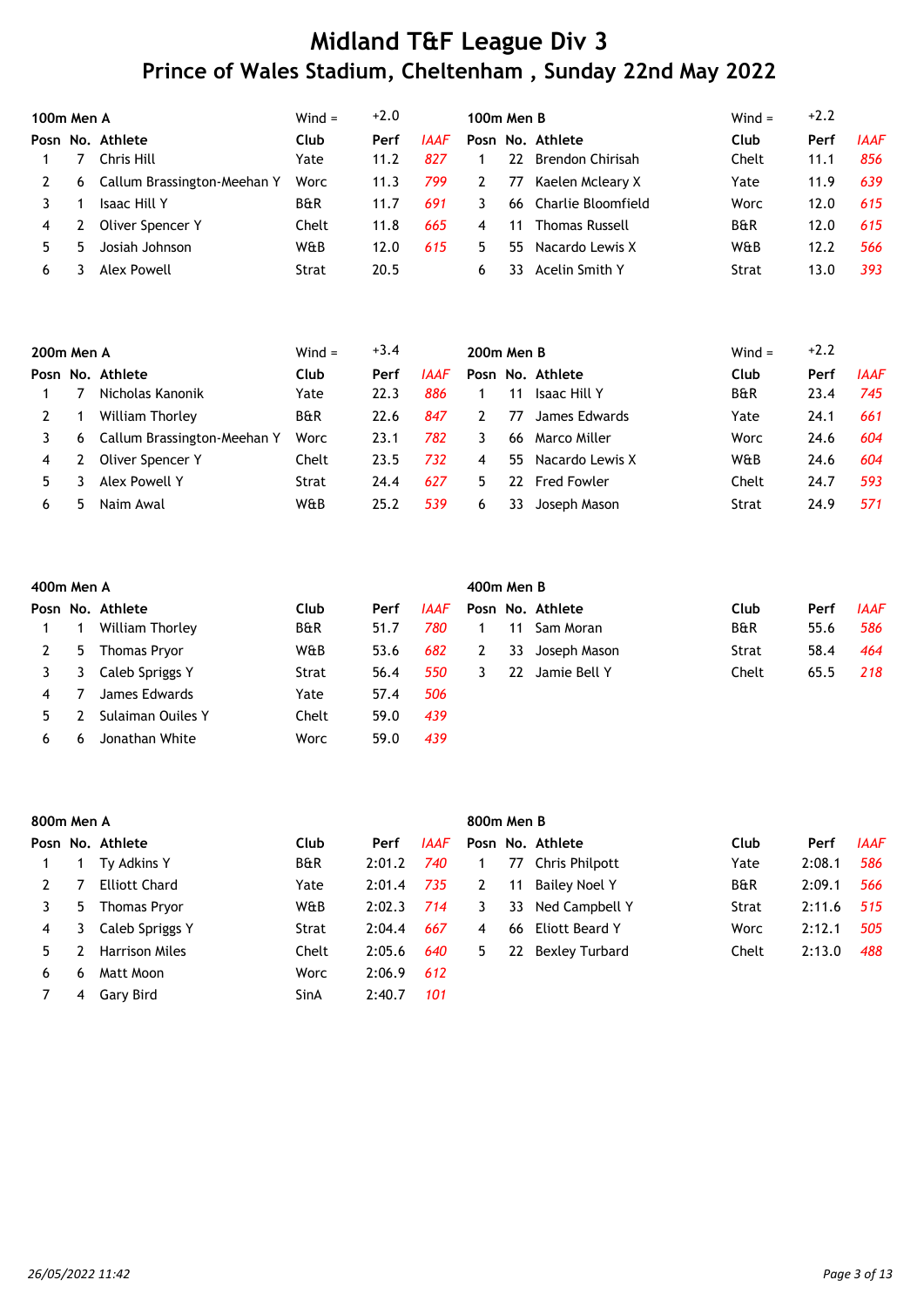| 100m Men A |   |                             | $Wind =$       | $+2.0$ |      | <b>100m Men B</b> |     |                       | $Wind =$       | $+2.2$ |             |
|------------|---|-----------------------------|----------------|--------|------|-------------------|-----|-----------------------|----------------|--------|-------------|
|            |   | Posn No. Athlete            | Club           | Perf   | IAAF |                   |     | Posn No. Athlete      | Club           | Perf   | <b>IAAF</b> |
|            |   | Chris Hill                  | Yate           | 11.2   | 827  |                   | 22  | Brendon Chirisah      | Chelt          | 11.1   | 856         |
|            | 6 | Callum Brassington-Meehan Y | Worc           | 11.3   | 799  | 2                 | 77  | Kaelen Mcleary X      | Yate           | 11.9   | 639         |
|            |   | Isaac Hill Y                | <b>B&amp;R</b> | 11.7   | 691  | 3                 | 66  | Charlie Bloomfield    | Worc           | 12.0   | 615         |
| 4          |   | Oliver Spencer Y            | Chelt          | 11.8   | 665  | 4                 | 11  | <b>Thomas Russell</b> | <b>B&amp;R</b> | 12.0   | 615         |
|            |   | Josiah Johnson              | W&B            | 12.0   | 615  | 5.                | 55. | Nacardo Lewis X       | W&B            | 12.2   | 566         |
| 6          |   | Alex Powell                 | Strat          | 20.5   |      | 6                 | 33  | Acelin Smith Y        | Strat          | 13.0   | 393         |

| 200m Men A |   |                             | $Wind =$ | $+3.4$ |             | 200m Men B |    |                    | Wind $=$ | $+2.2$ |             |
|------------|---|-----------------------------|----------|--------|-------------|------------|----|--------------------|----------|--------|-------------|
|            |   | Posn No. Athlete            | Club     | Perf   | <b>IAAF</b> |            |    | Posn No. Athlete   | Club     | Perf   | <b>IAAF</b> |
|            |   | Nicholas Kanonik            | Yate     | 22.3   | 886         |            | 11 | Isaac Hill Y       | B&R      | 23.4   | 745         |
|            |   | William Thorley             | B&R      | 22.6   | 847         |            | 77 | James Edwards      | Yate     | 24.1   | 661         |
|            | 6 | Callum Brassington-Meehan Y | Worc     | 23.1   | 782         |            | 66 | Marco Miller       | Worc     | 24.6   | 604         |
| 4          |   | Oliver Spencer Y            | Chelt    | 23.5   | 732         | 4          |    | 55 Nacardo Lewis X | W&B      | 24.6   | 604         |
|            |   | Alex Powell Y               | Strat    | 24.4   | 627         | 5.         | 22 | <b>Fred Fowler</b> | Chelt    | 24.7   | 593         |
| 6          | ּ | Naim Awal                   | W&B      | 25.2   | 539         | 6          | 33 | Joseph Mason       | Strat    | 24.9   | 571         |

|    | 400m Men A |                     |                |      |             |    |    | 400m Men B       |                |      |             |  |  |  |  |  |
|----|------------|---------------------|----------------|------|-------------|----|----|------------------|----------------|------|-------------|--|--|--|--|--|
|    |            | Posn No. Athlete    | Club           | Perf | <b>IAAF</b> |    |    | Posn No. Athlete | Club           | Perf | <b>IAAF</b> |  |  |  |  |  |
|    |            | William Thorley     | <b>B&amp;R</b> | 51.7 | 780         |    | 11 | Sam Moran        | <b>B&amp;R</b> | 55.6 | 586         |  |  |  |  |  |
|    | 5.         | <b>Thomas Pryor</b> | W&B            | 53.6 | 682         | 2  | 33 | Joseph Mason     | Strat          | 58.4 | 464         |  |  |  |  |  |
|    | 3          | Caleb Spriggs Y     | Strat          | 56.4 | 550         | 3. | 22 | Jamie Bell Y     | Chelt          | 65.5 | 218         |  |  |  |  |  |
|    |            | James Edwards       | Yate           | 57.4 | 506         |    |    |                  |                |      |             |  |  |  |  |  |
| 5. |            | Sulaiman Ouiles Y   | Chelt          | 59.0 | 439         |    |    |                  |                |      |             |  |  |  |  |  |
| 6  | 6          | Jonathan White      | Worc           | 59.0 | 439         |    |    |                  |                |      |             |  |  |  |  |  |

|    | 800m Men A |                       |                |        |             |    |    | 800m Men B        |                |        |             |  |  |  |  |  |
|----|------------|-----------------------|----------------|--------|-------------|----|----|-------------------|----------------|--------|-------------|--|--|--|--|--|
|    |            | Posn No. Athlete      | Club           | Perf   | <b>IAAF</b> |    |    | Posn No. Athlete  | Club           | Perf   | <b>IAAF</b> |  |  |  |  |  |
|    |            | Ty Adkins Y           | <b>B&amp;R</b> | 2:01.2 | 740         |    |    | 77 Chris Philpott | Yate           | 2:08.1 | 586         |  |  |  |  |  |
|    |            | <b>Elliott Chard</b>  | Yate           | 2:01.4 | 735         | 2  | 11 | Bailey Noel Y     | <b>B&amp;R</b> | 2:09.1 | 566         |  |  |  |  |  |
| 3  | 5.         | <b>Thomas Pryor</b>   | W&B            | 2:02.3 | 714         | 3  | 33 | Ned Campbell Y    | Strat          | 2:11.6 | 515         |  |  |  |  |  |
| 4  | 3          | Caleb Spriggs Y       | Strat          | 2:04.4 | 667         | 4  | 66 | Eliott Beard Y    | Worc           | 2:12.1 | 505         |  |  |  |  |  |
| 5. |            | <b>Harrison Miles</b> | Chelt          | 2:05.6 | 640         | 5. | 22 | Bexley Turbard    | Chelt          | 2:13.0 | 488         |  |  |  |  |  |
| 6  | 6          | Matt Moon             | Worc           | 2:06.9 | 612         |    |    |                   |                |        |             |  |  |  |  |  |
|    | 4          | Gary Bird             | SinA           | 2:40.7 | 101         |    |    |                   |                |        |             |  |  |  |  |  |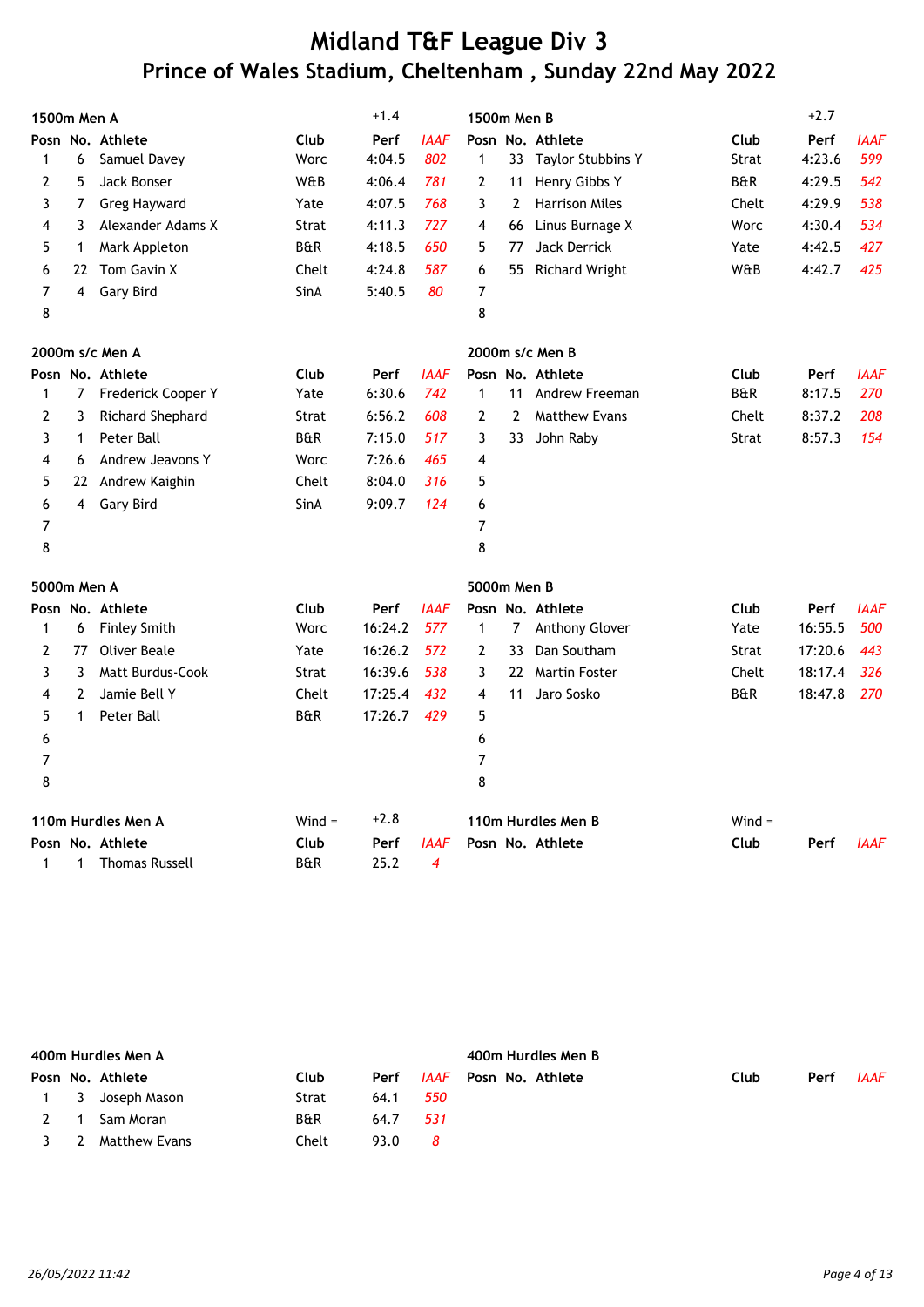| 1500m Men A |                |                         |                | $+1.4$  |             | 1500m Men B    |                |                          |                | $+2.7$  |             |
|-------------|----------------|-------------------------|----------------|---------|-------------|----------------|----------------|--------------------------|----------------|---------|-------------|
|             |                | Posn No. Athlete        | Club           | Perf    | IAAF        |                |                | Posn No. Athlete         | Club           | Perf    | IAAF        |
| 1           | 6              | Samuel Davey            | Worc           | 4:04.5  | 802         | $\mathbf{1}$   | 33             | <b>Taylor Stubbins Y</b> | Strat          | 4:23.6  | 599         |
| 2           | 5              | Jack Bonser             | W&B            | 4:06.4  | 781         | $\mathbf{2}$   | 11             | Henry Gibbs Y            | <b>B&amp;R</b> | 4:29.5  | 542         |
| 3           | 7              | <b>Greg Hayward</b>     | Yate           | 4:07.5  | 768         | 3              | 2              | <b>Harrison Miles</b>    | Chelt          | 4:29.9  | 538         |
| 4           | 3              | Alexander Adams X       | Strat          | 4:11.3  | 727         | 4              | 66             | Linus Burnage X          | Worc           | 4:30.4  | 534         |
| 5           | 1              | Mark Appleton           | <b>B&amp;R</b> | 4:18.5  | 650         | 5              | 77             | <b>Jack Derrick</b>      | Yate           | 4:42.5  | 427         |
| 6           | 22             | Tom Gavin X             | Chelt          | 4:24.8  | 587         | 6              | 55             | <b>Richard Wright</b>    | W&B            | 4:42.7  | 425         |
| 7           | 4              | Gary Bird               | SinA           | 5:40.5  | 80          | 7              |                |                          |                |         |             |
| 8           |                |                         |                |         |             | 8              |                |                          |                |         |             |
|             |                | 2000m s/c Men A         |                |         |             |                |                | 2000m s/c Men B          |                |         |             |
|             |                | Posn No. Athlete        | Club           | Perf    | <b>IAAF</b> |                |                | Posn No. Athlete         | Club           | Perf    | <b>IAAF</b> |
| 1           | $\overline{7}$ | Frederick Cooper Y      | Yate           | 6:30.6  | 742         | $\mathbf{1}$   | 11             | Andrew Freeman           | <b>B&amp;R</b> | 8:17.5  | 270         |
| 2           | 3              | Richard Shephard        | Strat          | 6:56.2  | 608         | 2              | $\overline{2}$ | <b>Matthew Evans</b>     | Chelt          | 8:37.2  | 208         |
| 3           | $\mathbf 1$    | Peter Ball              | <b>B&amp;R</b> | 7:15.0  | 517         | 3              | 33             | John Raby                | Strat          | 8:57.3  | 154         |
| 4           | 6              | Andrew Jeavons Y        | Worc           | 7:26.6  | 465         | 4              |                |                          |                |         |             |
| 5           | 22             | Andrew Kaighin          | Chelt          | 8:04.0  | 316         | 5              |                |                          |                |         |             |
| 6           | 4              | <b>Gary Bird</b>        | SinA           | 9:09.7  | 124         | 6              |                |                          |                |         |             |
| 7           |                |                         |                |         |             | 7              |                |                          |                |         |             |
| 8           |                |                         |                |         |             | 8              |                |                          |                |         |             |
| 5000m Men A |                |                         |                |         |             | 5000m Men B    |                |                          |                |         |             |
|             |                | Posn No. Athlete        | Club           | Perf    | <b>IAAF</b> |                |                | Posn No. Athlete         | Club           | Perf    | <b>IAAF</b> |
| 1           | 6              | <b>Finley Smith</b>     | Worc           | 16:24.2 | 577         | 1              | 7              | Anthony Glover           | Yate           | 16:55.5 | 500         |
| 2           | 77             | <b>Oliver Beale</b>     | Yate           | 16:26.2 | 572         | 2              | 33             | Dan Southam              | Strat          | 17:20.6 | 443         |
| 3           | 3              | <b>Matt Burdus-Cook</b> | <b>Strat</b>   | 16:39.6 | 538         | 3              | 22             | <b>Martin Foster</b>     | Chelt          | 18:17.4 | 326         |
| 4           | $\overline{2}$ | Jamie Bell Y            | Chelt          | 17:25.4 | 432         | 4              | 11             | Jaro Sosko               | <b>B&amp;R</b> | 18:47.8 | 270         |
| 5           | $\mathbf{1}$   | Peter Ball              | <b>B&amp;R</b> | 17:26.7 | 429         | 5              |                |                          |                |         |             |
| 6           |                |                         |                |         |             | 6              |                |                          |                |         |             |
| 7           |                |                         |                |         |             | $\overline{7}$ |                |                          |                |         |             |
| 8           |                |                         |                |         |             | 8              |                |                          |                |         |             |
|             |                | 110m Hurdles Men A      | $Wind =$       | $+2.8$  |             |                |                | 110m Hurdles Men B       | $Wind =$       |         |             |
|             |                | Posn No. Athlete        | Club           | Perf    | <b>IAAF</b> |                |                | Posn No. Athlete         | Club           | Perf    | <b>IAAF</b> |
| 1           | 1              | <b>Thomas Russell</b>   | <b>B&amp;R</b> | 25.2    | 4           |                |                |                          |                |         |             |

|   |     | 400m Hurdles Men A |       |      |      | 400m Hurdles Men B |      |      |             |  |  |  |  |
|---|-----|--------------------|-------|------|------|--------------------|------|------|-------------|--|--|--|--|
|   |     | Posn No. Athlete   | Club  | Perf | IAAF | Posn No. Athlete   | Club | Perf | <b>IAAF</b> |  |  |  |  |
|   |     | 1 3 Joseph Mason   | Strat | 64.1 | 550  |                    |      |      |             |  |  |  |  |
|   |     | Sam Moran          | B&R   | 64.7 | 531  |                    |      |      |             |  |  |  |  |
| 3 | - 2 | Matthew Evans      | Chelt | 93.0 | -8   |                    |      |      |             |  |  |  |  |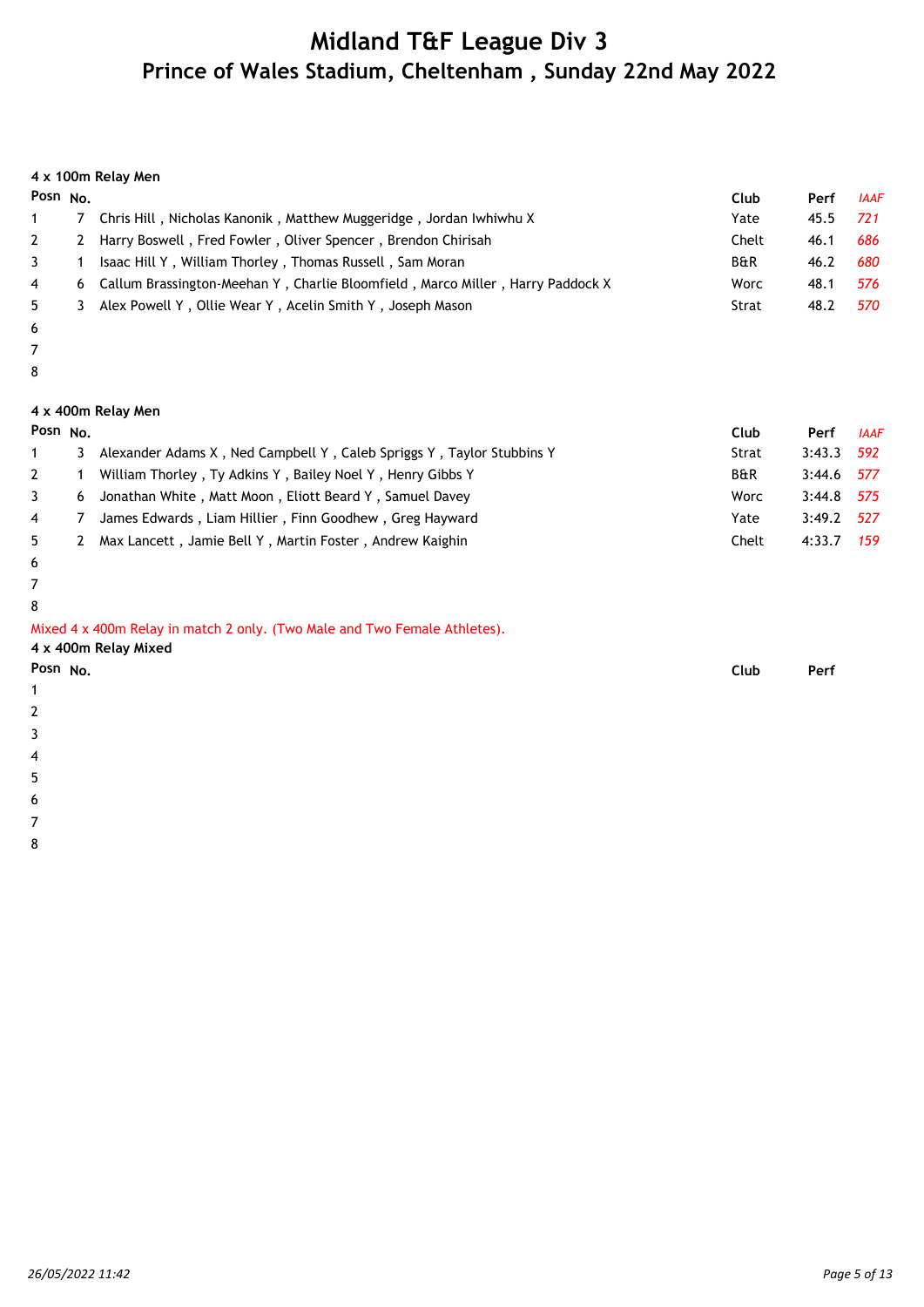#### **4 x 100m Relay Men**

| Posn $No$                                                                        | Club           | Perf | <b>IAAF</b> |
|----------------------------------------------------------------------------------|----------------|------|-------------|
| Chris Hill, Nicholas Kanonik, Matthew Muggeridge, Jordan Iwhiwhu X               | Yate           | 45.5 | 721         |
| 2 Harry Boswell, Fred Fowler, Oliver Spencer, Brendon Chirisah                   | Chelt          | 46.1 | 686         |
| Isaac Hill Y, William Thorley, Thomas Russell, Sam Moran                         | <b>B&amp;R</b> | 46.2 | 680         |
| 6 Callum Brassington-Meehan Y, Charlie Bloomfield, Marco Miller, Harry Paddock X | Worc           | 48.1 | 576         |
| Alex Powell Y, Ollie Wear Y, Acelin Smith Y, Joseph Mason                        | Strat          | 48.2 | 570         |
|                                                                                  |                |      |             |

- 6 7
- 8

#### **4 x 400m Relay Men**

| Posn $No$      |    |                                                                       | Club           | Perf         | <b>IAAF</b> |
|----------------|----|-----------------------------------------------------------------------|----------------|--------------|-------------|
|                | 3  | Alexander Adams X, Ned Campbell Y, Caleb Spriggs Y, Taylor Stubbins Y | Strat          | $3:43.3$ 592 |             |
| $2^{\circ}$    |    | William Thorley, Ty Adkins Y, Bailey Noel Y, Henry Gibbs Y            | <b>B&amp;R</b> | $3:44.6$ 577 |             |
| 3              | 6  | Jonathan White, Matt Moon, Eliott Beard Y, Samuel Davey               | Worc           | $3:44.8$ 575 |             |
| $\overline{4}$ | -7 | James Edwards, Liam Hillier, Finn Goodhew, Greg Hayward               | Yate           | $3:49.2$ 527 |             |
| 5              | 2  | Max Lancett, Jamie Bell Y, Martin Foster, Andrew Kaighin              | Chelt          | 4:33.7       | 159         |

- 6
- 7

8 Mixed 4 x 400m Relay in match 2 only. (Two Male and Two Female Athletes).

| 4 x 400m Relay Mixed |      |      |
|----------------------|------|------|
| Posn No.             | Club | Perf |
| 1                    |      |      |

- 2
- 3
- 
- 4
- 5
- 6
- 7 8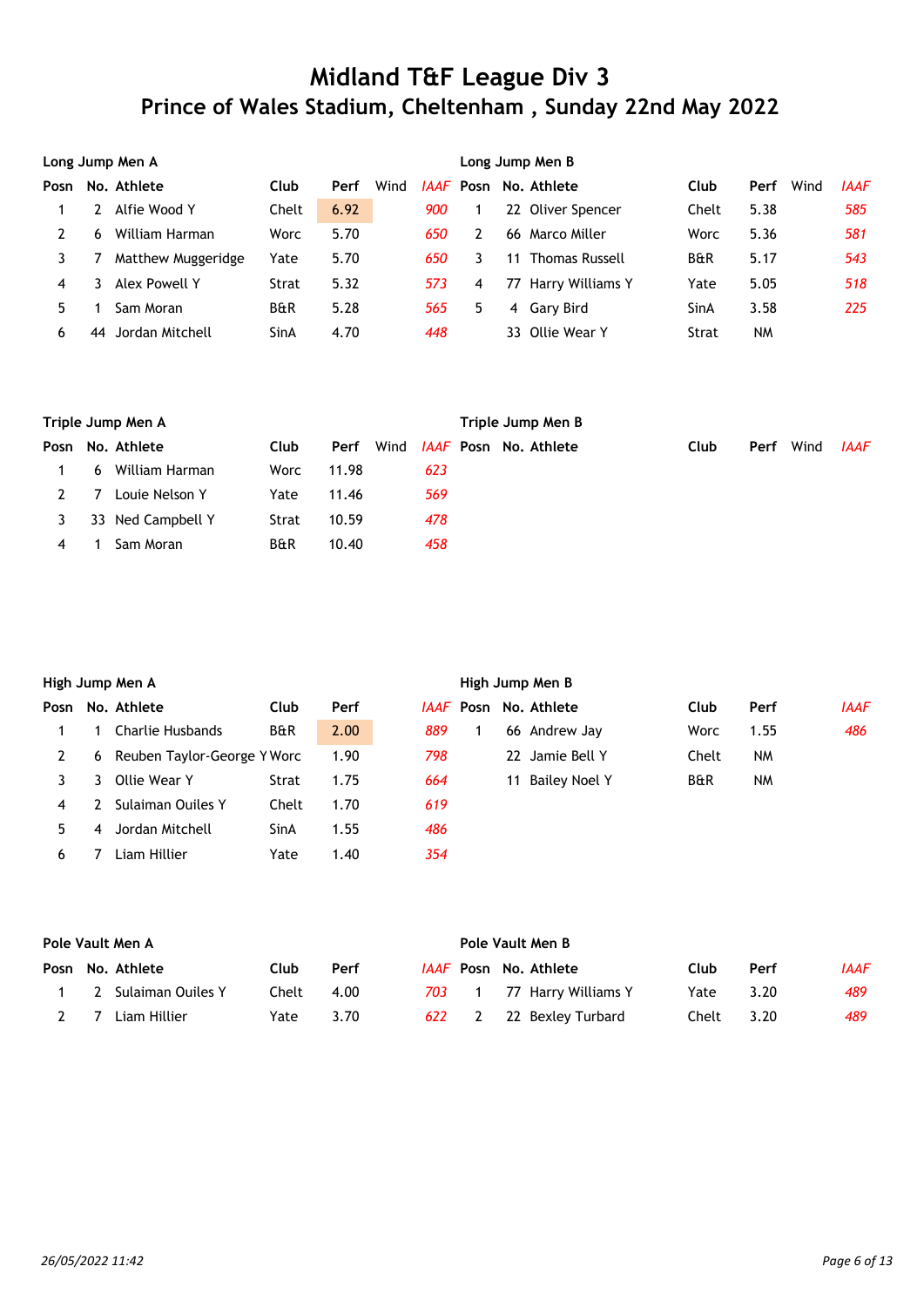|      | Long Jump Men A |                    |                |      |      |      | Long Jump Men B |    |                       |                |           |      |             |  |
|------|-----------------|--------------------|----------------|------|------|------|-----------------|----|-----------------------|----------------|-----------|------|-------------|--|
| Posn |                 | No. Athlete        | Club           | Perf | Wind | IAAF |                 |    | Posn No. Athlete      | Club           | Perf      | Wind | <b>IAAF</b> |  |
|      |                 | Alfie Wood Y       | Chelt          | 6.92 |      | 900  |                 |    | 22 Oliver Spencer     | Chelt          | 5.38      |      | 585         |  |
|      | 6               | William Harman     | Worc           | 5.70 |      | 650  |                 |    | 66 Marco Miller       | Worc           | 5.36      |      | 581         |  |
|      |                 | Matthew Muggeridge | Yate           | 5.70 |      | 650  |                 | 11 | <b>Thomas Russell</b> | <b>B&amp;R</b> | 5.17      |      | 543         |  |
| 4    |                 | Alex Powell Y      | Strat          | 5.32 |      | 573  | 4               |    | 77 Harry Williams Y   | Yate           | 5.05      |      | 518         |  |
|      |                 | Sam Moran          | <b>B&amp;R</b> | 5.28 |      | 565  | 5               | 4  | Gary Bird             | SinA           | 3.58      |      | 225         |  |
| 6    | 44              | Jordan Mitchell    | SinA           | 4.70 |      | 448  |                 |    | 33 Ollie Wear Y       | Strat          | <b>NM</b> |      |             |  |

|      | Triple Jump Men A |                   |                |       |      | Triple Jump Men B |                              |      |      |      |             |  |  |
|------|-------------------|-------------------|----------------|-------|------|-------------------|------------------------------|------|------|------|-------------|--|--|
| Posn |                   | No. Athlete       | Club           | Perf  | Wind |                   | <i>IAAF</i> Posn No. Athlete | Club | Perf | Wind | <b>IAAF</b> |  |  |
|      | 6                 | William Harman    | Worc           | 11.98 | 623  |                   |                              |      |      |      |             |  |  |
|      |                   | Louie Nelson Y    | Yate           | 11.46 | 569  |                   |                              |      |      |      |             |  |  |
|      |                   | 33 Ned Campbell Y | Strat          | 10.59 | 478  |                   |                              |      |      |      |             |  |  |
| 4    |                   | Sam Moran         | <b>B&amp;R</b> | 10.40 | 458  |                   |                              |      |      |      |             |  |  |

|      | High Jump Men A |                             |                |      |     |  | High Jump Men B |                              |                |           |             |  |  |  |
|------|-----------------|-----------------------------|----------------|------|-----|--|-----------------|------------------------------|----------------|-----------|-------------|--|--|--|
| Posn |                 | No. Athlete                 | Club           | Perf |     |  |                 | <i>IAAF</i> Posn No. Athlete | Club           | Perf      | <b>IAAF</b> |  |  |  |
|      |                 | Charlie Husbands            | <b>B&amp;R</b> | 2.00 | 889 |  |                 | 66 Andrew Jay                | Worc           | 1.55      | 486         |  |  |  |
|      | 6               | Reuben Taylor-George Y Worc |                | 1.90 | 798 |  |                 | 22 Jamie Bell Y              | Chelt          | <b>NM</b> |             |  |  |  |
|      |                 | Ollie Wear Y                | Strat          | 1.75 | 664 |  | 11              | Bailey Noel Y                | <b>B&amp;R</b> | <b>NM</b> |             |  |  |  |
| 4    |                 | Sulaiman Ouiles Y           | Chelt          | 1.70 | 619 |  |                 |                              |                |           |             |  |  |  |
| 5.   | 4               | Jordan Mitchell             | SinA           | 1.55 | 486 |  |                 |                              |                |           |             |  |  |  |
| 6    |                 | Liam Hillier                | Yate           | 1.40 | 354 |  |                 |                              |                |           |             |  |  |  |

|        | Pole Vault Men A |                     |       |      |  | Pole Vault Men B |  |                              |       |      |      |  |
|--------|------------------|---------------------|-------|------|--|------------------|--|------------------------------|-------|------|------|--|
|        |                  | Posn No. Athlete    | Club  | Perf |  |                  |  | <i>IAAF</i> Posn No. Athlete | Club  | Perf | IAAF |  |
|        |                  | 2 Sulaiman Ouiles Y | Chelt | 4.00 |  | 703 1            |  | 77 Harry Williams Y          | Yate  | 3.20 | 489  |  |
| $\sim$ |                  | Liam Hillier        | Yate  | 3.70 |  |                  |  | 622 2 22 Bexley Turbard      | Chelt | 3.20 | 489  |  |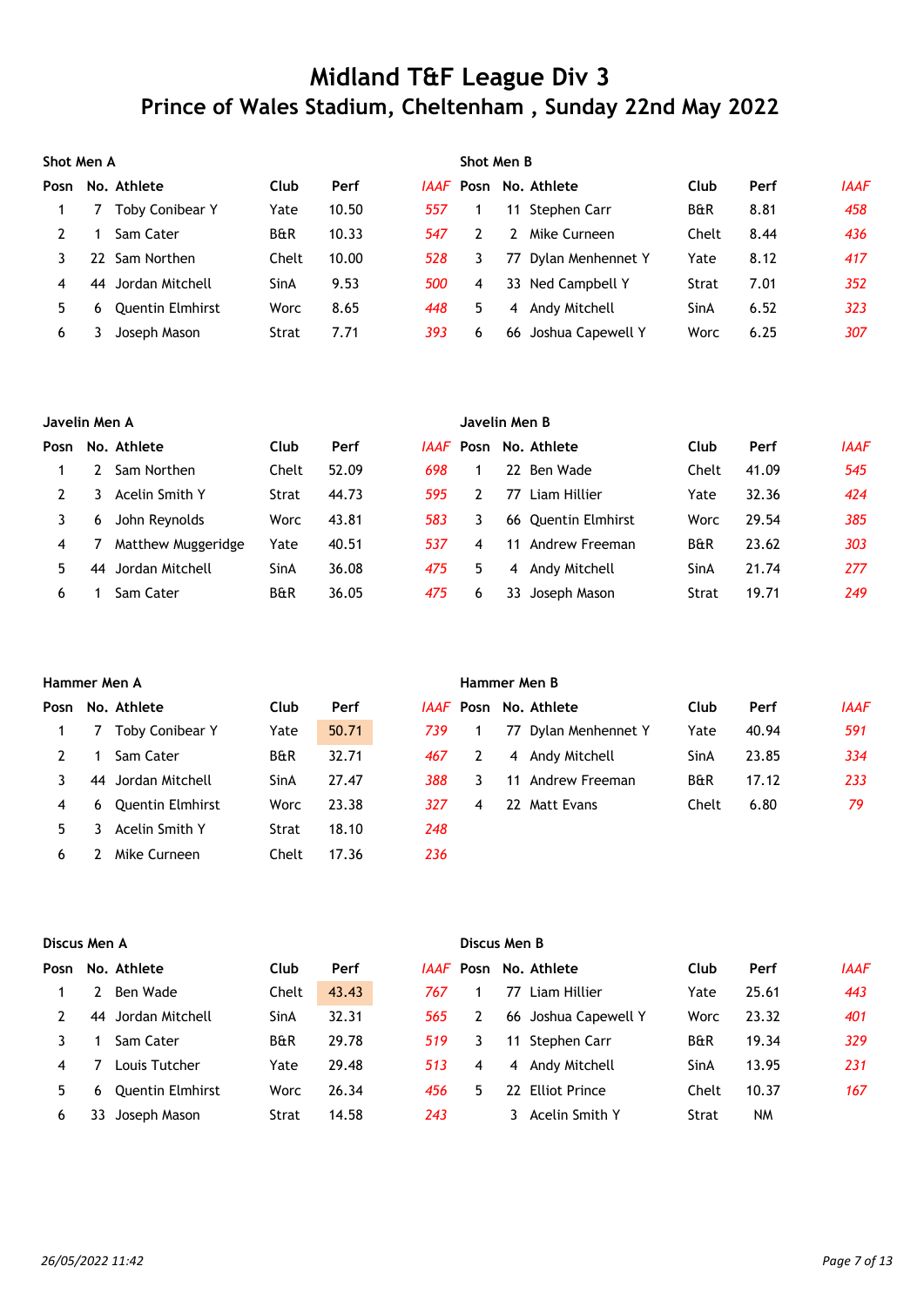|      | Shot Men A |                         |                |       |     | Shot Men B |    |                              |                |      |             |  |
|------|------------|-------------------------|----------------|-------|-----|------------|----|------------------------------|----------------|------|-------------|--|
| Posn |            | No. Athlete             | Club           | Perf  |     |            |    | <i>IAAF</i> Posn No. Athlete | Club           | Perf | <b>IAAF</b> |  |
|      |            | <b>Toby Conibear Y</b>  | Yate           | 10.50 | 557 |            |    | 11 Stephen Carr              | <b>B&amp;R</b> | 8.81 | 458         |  |
|      |            | Sam Cater               | <b>B&amp;R</b> | 10.33 | 547 |            | 2  | Mike Curneen                 | Chelt          | 8.44 | 436         |  |
|      | 22.        | Sam Northen             | Chelt          | 10.00 | 528 |            | 77 | Dylan Menhennet Y            | Yate           | 8.12 | 417         |  |
| 4    |            | 44 Jordan Mitchell      | SinA           | 9.53  | 500 | 4          |    | 33 Ned Campbell Y            | Strat          | 7.01 | 352         |  |
| 5.   | 6          | <b>Ouentin Elmhirst</b> | Worc           | 8.65  | 448 | 5          | 4  | Andy Mitchell                | SinA           | 6.52 | 323         |  |
| 6    |            | Joseph Mason            | Strat          | 7.71  | 393 | 6          | 66 | Joshua Capewell Y            | Worc           | 6.25 | 307         |  |

|      | Javelin Men A |                    |                |       |      | Javelin Men B |    |                     |                |       |             |  |  |
|------|---------------|--------------------|----------------|-------|------|---------------|----|---------------------|----------------|-------|-------------|--|--|
| Posn |               | No. Athlete        | Club           | Perf  | IAAF |               |    | Posn No. Athlete    | Club           | Perf  | <b>IAAF</b> |  |  |
|      |               | Sam Northen        | Chelt          | 52.09 | 698  |               |    | 22 Ben Wade         | Chelt          | 41.09 | 545         |  |  |
|      |               | Acelin Smith Y     | Strat          | 44.73 | 595  |               | 77 | Liam Hillier        | Yate           | 32.36 | 424         |  |  |
|      | 6             | John Reynolds      | Worc           | 43.81 | 583  | 3             |    | 66 Quentin Elmhirst | Worc           | 29.54 | 385         |  |  |
| 4    |               | Matthew Muggeridge | Yate           | 40.51 | 537  | 4             | 11 | Andrew Freeman      | <b>B&amp;R</b> | 23.62 | 303         |  |  |
| 5.   | 44            | Jordan Mitchell    | SinA           | 36.08 | 475  | 5             | 4  | Andy Mitchell       | SinA           | 21.74 | 277         |  |  |
| 6    |               | Sam Cater          | <b>B&amp;R</b> | 36.05 | 475  | 6             | 33 | Joseph Mason        | Strat          | 19.71 | 249         |  |  |

|      | Hammer Men A |                         |                |       |     | Hammer Men B |    |                              |                |       |             |  |  |
|------|--------------|-------------------------|----------------|-------|-----|--------------|----|------------------------------|----------------|-------|-------------|--|--|
| Posn |              | No. Athlete             | Club           | Perf  |     |              |    | <i>IAAF</i> Posn No. Athlete | Club           | Perf  | <b>IAAF</b> |  |  |
|      |              | Toby Conibear Y         | Yate           | 50.71 | 739 |              |    | 77 Dylan Menhennet Y         | Yate           | 40.94 | 591         |  |  |
|      |              | Sam Cater               | <b>B&amp;R</b> | 32.71 | 467 |              |    | 4 Andy Mitchell              | SinA           | 23.85 | 334         |  |  |
|      | 44           | Jordan Mitchell         | SinA           | 27.47 | 388 | 3            | 11 | Andrew Freeman               | <b>B&amp;R</b> | 17.12 | 233         |  |  |
| 4    | 6.           | <b>Quentin Elmhirst</b> | Worc           | 23.38 | 327 | 4            | 22 | Matt Evans                   | Chelt          | 6.80  | 79          |  |  |
| 5.   |              | Acelin Smith Y          | Strat          | 18.10 | 248 |              |    |                              |                |       |             |  |  |
| 6    |              | Mike Curneen            | Chelt          | 17.36 | 236 |              |    |                              |                |       |             |  |  |

|      | Discus Men A |                         |                |       |     | Discus Men B |                |                              |                |           |             |  |  |
|------|--------------|-------------------------|----------------|-------|-----|--------------|----------------|------------------------------|----------------|-----------|-------------|--|--|
| Posn |              | No. Athlete             | Club           | Perf  |     |              |                | <i>IAAF</i> Posn No. Athlete | Club           | Perf      | <b>IAAF</b> |  |  |
|      |              | Ben Wade                | Chelt          | 43.43 | 767 |              | 77             | Liam Hillier                 | Yate           | 25.61     | 443         |  |  |
|      | 44           | Jordan Mitchell         | SinA           | 32.31 | 565 | 2            |                | 66 Joshua Capewell Y         | Worc           | 23.32     | 401         |  |  |
|      |              | Sam Cater               | <b>B&amp;R</b> | 29.78 | 519 | 3            | 11             | Stephen Carr                 | <b>B&amp;R</b> | 19.34     | 329         |  |  |
| 4    |              | Louis Tutcher           | Yate           | 29.48 | 513 | 4            | $\overline{4}$ | Andy Mitchell                | SinA           | 13.95     | 231         |  |  |
| 5    | 6            | <b>Quentin Elmhirst</b> | Worc           | 26.34 | 456 | 5.           | 22             | <b>Elliot Prince</b>         | Chelt          | 10.37     | 167         |  |  |
| 6    |              | Joseph Mason            | Strat          | 14.58 | 243 |              |                | Acelin Smith Y               | Strat          | <b>NM</b> |             |  |  |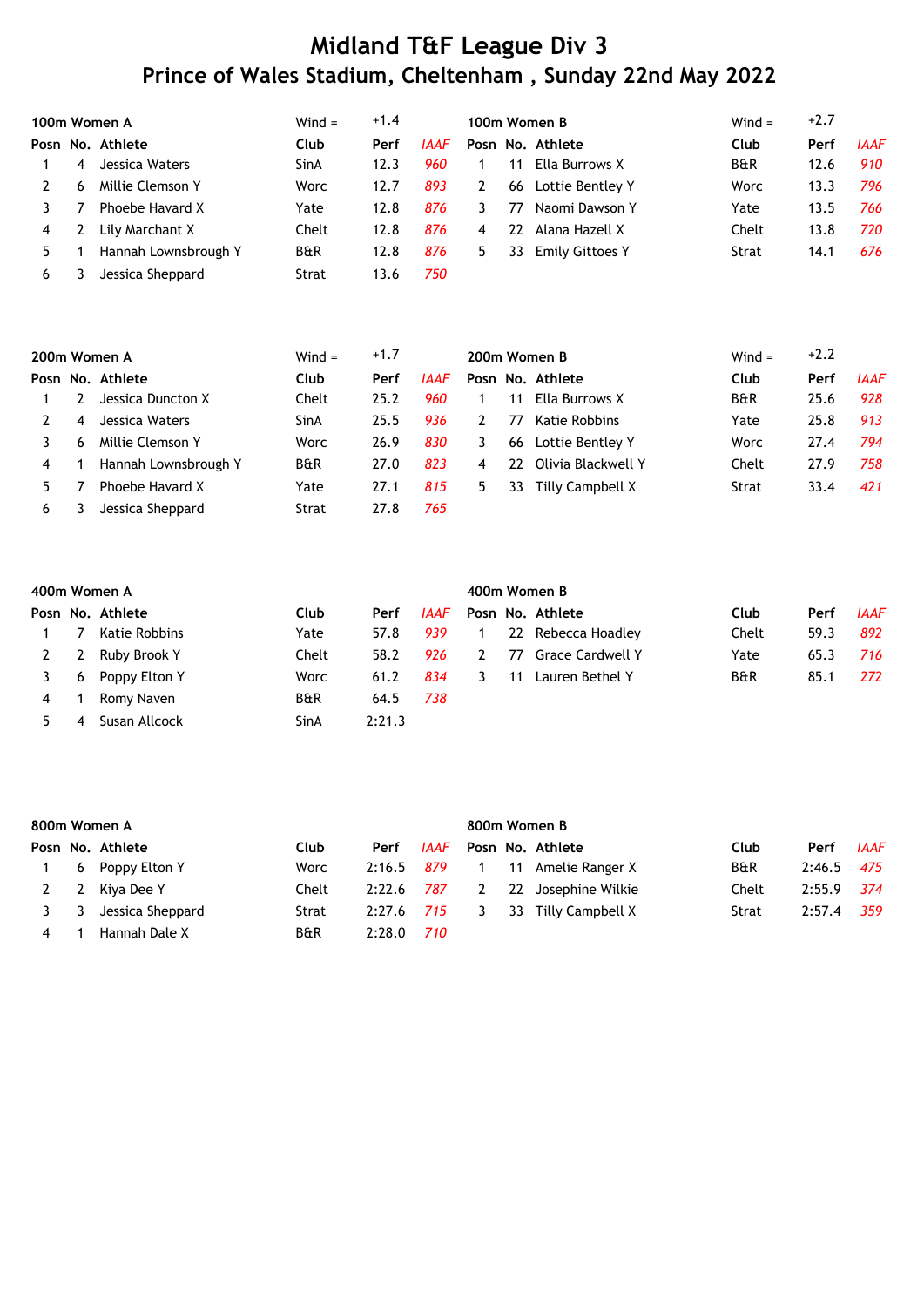|    |   | 100m Women A         | $Wind =$       | $+1.4$ |             |    |    | 100m Women B           | $Wind =$       | $+2.7$ |             |
|----|---|----------------------|----------------|--------|-------------|----|----|------------------------|----------------|--------|-------------|
|    |   | Posn No. Athlete     | Club           | Perf   | <b>IAAF</b> |    |    | Posn No. Athlete       | Club           | Perf   | <b>IAAF</b> |
|    | 4 | Jessica Waters       | SinA           | 12.3   | 960         |    | 11 | Ella Burrows X         | <b>B&amp;R</b> | 12.6   | 910         |
|    | 6 | Millie Clemson Y     | Worc           | 12.7   | 893         | 2  | 66 | Lottie Bentley Y       | Worc           | 13.3   | 796         |
|    |   | Phoebe Havard X      | Yate           | 12.8   | 876         | 3  | 77 | Naomi Dawson Y         | Yate           | 13.5   | 766         |
| 4  |   | Lily Marchant X      | Chelt          | 12.8   | 876         | 4  | 22 | Alana Hazell X         | Chelt          | 13.8   | 720         |
| 5. |   | Hannah Lownsbrough Y | <b>B&amp;R</b> | 12.8   | 876         | 5. | 33 | <b>Emily Gittoes Y</b> | Strat          | 14.1   | 676         |
| 6  |   | Jessica Sheppard     | Strat          | 13.6   | 750         |    |    |                        |                |        |             |

|    |   | 200m Women A         | $Wind =$       | $+1.7$ |      |   |    | 200m Women B       | Wind $=$       | $+2.2$ |             |
|----|---|----------------------|----------------|--------|------|---|----|--------------------|----------------|--------|-------------|
|    |   | Posn No. Athlete     | Club           | Perf   | IAAF |   |    | Posn No. Athlete   | Club           | Perf   | <b>IAAF</b> |
|    |   | Jessica Duncton X    | Chelt          | 25.2   | 960  |   | 11 | Ella Burrows X     | <b>B&amp;R</b> | 25.6   | 928         |
|    | 4 | Jessica Waters       | SinA           | 25.5   | 936  |   | 77 | Katie Robbins      | Yate           | 25.8   | 913         |
|    | 6 | Millie Clemson Y     | Worc           | 26.9   | 830  | 3 | 66 | Lottie Bentlev Y   | Worc           | 27.4   | 794         |
| 4  |   | Hannah Lownsbrough Y | <b>B&amp;R</b> | 27.0   | 823  | 4 | 22 | Olivia Blackwell Y | Chelt          | 27.9   | 758         |
| 5. |   | Phoebe Havard X      | Yate           | 27.1   | 815  | 5 | 33 | Tilly Campbell X   | Strat          | 33.4   | 421         |
| 6  |   | Jessica Sheppard     | Strat          | 27.8   | 765  |   |    |                    |                |        |             |

|   |   | 400m Women A     |       |        |      | 400m Women B |    |                    |                |      |             |  |  |
|---|---|------------------|-------|--------|------|--------------|----|--------------------|----------------|------|-------------|--|--|
|   |   | Posn No. Athlete | Club  | Perf   | IAAF |              |    | Posn No. Athlete   | Club           | Perf | <b>IAAF</b> |  |  |
|   |   | Katie Robbins    | Yate  | 57.8   | 939  |              |    | 22 Rebecca Hoadley | Chelt          | 59.3 | 892         |  |  |
|   | 2 | Ruby Brook Y     | Chelt | 58.2   | 926  | 2            | 77 | Grace Cardwell Y   | Yate           | 65.3 | 716.        |  |  |
|   | 6 | Poppy Elton Y    | Worc  | 61.2   | 834  |              | 11 | Lauren Bethel Y    | <b>B&amp;R</b> | 85.1 | 272         |  |  |
| 4 |   | Romy Naven       | B&R   | 64.5   | 738  |              |    |                    |                |      |             |  |  |
|   | 4 | Susan Allcock    | SinA  | 2:21.3 |      |              |    |                    |                |      |             |  |  |

|   |   | 800m Women A     |       |        |      | 800m Women B |    |                    |                |        |             |  |  |
|---|---|------------------|-------|--------|------|--------------|----|--------------------|----------------|--------|-------------|--|--|
|   |   | Posn No. Athlete | Club  | Perf   | IAAF |              |    | Posn No. Athlete   | Club           | Perf   | <b>IAAF</b> |  |  |
|   | 6 | Poppy Elton Y    | Worc  | 2:16.5 | 879  |              |    | 11 Amelie Ranger X | <b>B&amp;R</b> | 2:46.5 | 475         |  |  |
| 2 | 2 | Kiya Dee Y       | Chelt | 2:22.6 | 787  | 2            | 22 | Josephine Wilkie   | Chelt          | 2:55.9 | 374         |  |  |
|   | 3 | Jessica Sheppard | Strat | 2:27.6 | 715  | 3            | 33 | Tilly Campbell X   | Strat          | 2:57.4 | 359         |  |  |
| 4 |   | Hannah Dale X    | B&R   | 2:28.0 | 710  |              |    |                    |                |        |             |  |  |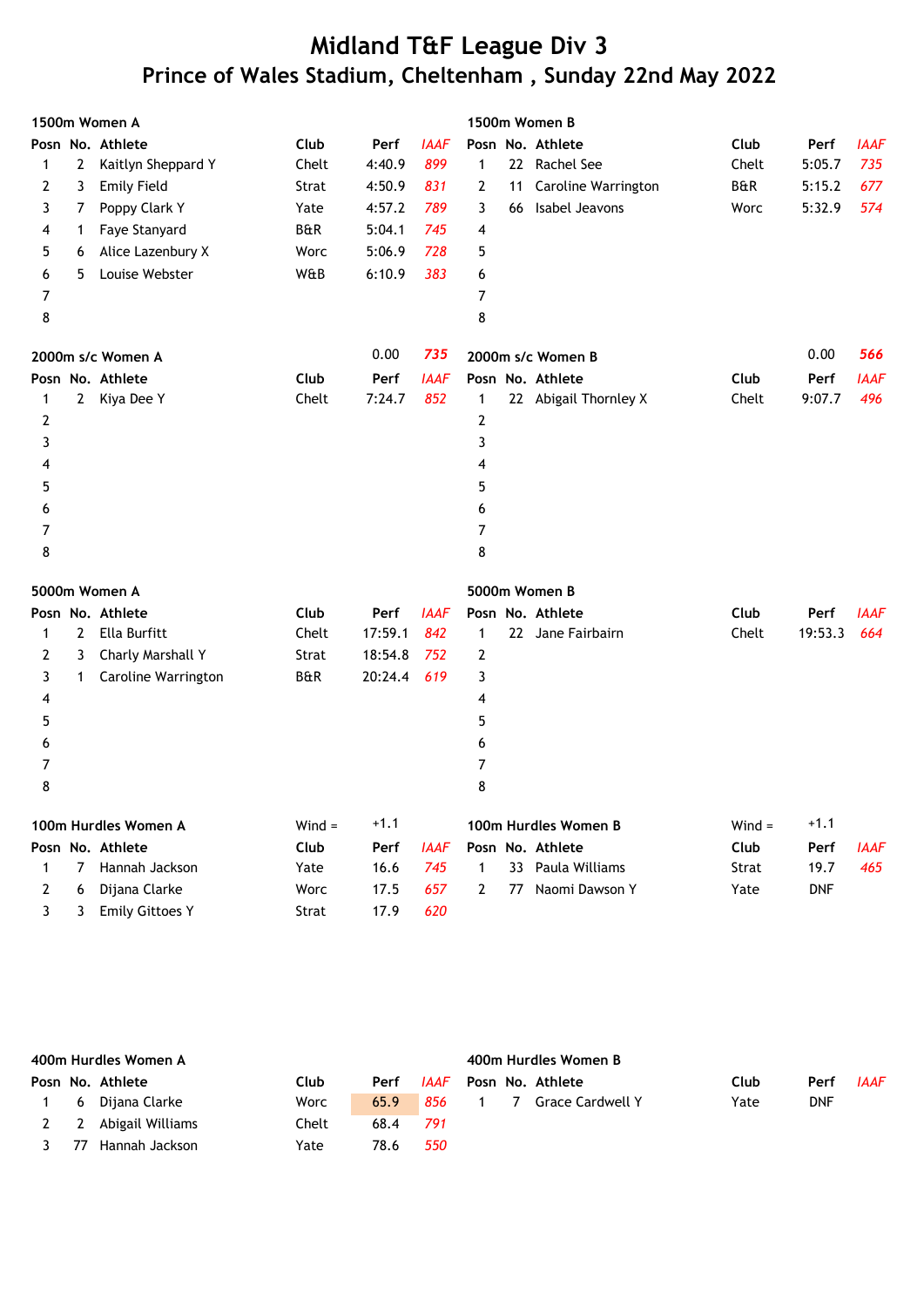|   |              | 1500m Women A          |          |         |             |              |    | 1500m Women B         |          |            |             |
|---|--------------|------------------------|----------|---------|-------------|--------------|----|-----------------------|----------|------------|-------------|
|   |              | Posn No. Athlete       | Club     | Perf    | <b>IAAF</b> |              |    | Posn No. Athlete      | Club     | Perf       | <b>IAAF</b> |
| 1 | $\mathbf{2}$ | Kaitlyn Sheppard Y     | Chelt    | 4:40.9  | 899         | 1            |    | 22 Rachel See         | Chelt    | 5:05.7     | 735         |
| 2 | 3            | <b>Emily Field</b>     | Strat    | 4:50.9  | 831         | 2            | 11 | Caroline Warrington   | B&R      | 5:15.2     | 677         |
| 3 | 7            | Poppy Clark Y          | Yate     | 4:57.2  | 789         | 3            | 66 | Isabel Jeavons        | Worc     | 5:32.9     | 574         |
| 4 | $\mathbf{1}$ | Faye Stanyard          | B&R      | 5:04.1  | 745         | 4            |    |                       |          |            |             |
| 5 | 6            | Alice Lazenbury X      | Worc     | 5:06.9  | 728         | 5            |    |                       |          |            |             |
| 6 | 5            | Louise Webster         | W&B      | 6:10.9  | 383         | 6            |    |                       |          |            |             |
| 7 |              |                        |          |         |             | 7            |    |                       |          |            |             |
| 8 |              |                        |          |         |             | 8            |    |                       |          |            |             |
|   |              | 2000m s/c Women A      |          | 0.00    | 735         |              |    | 2000m s/c Women B     |          | 0.00       | 566         |
|   |              | Posn No. Athlete       | Club     | Perf    | <b>IAAF</b> |              |    | Posn No. Athlete      | Club     | Perf       | <b>IAAF</b> |
| 1 | $\mathbf{2}$ | Kiya Dee Y             | Chelt    | 7:24.7  | 852         | 1            |    | 22 Abigail Thornley X | Chelt    | 9:07.7     | 496         |
| 2 |              |                        |          |         |             | 2            |    |                       |          |            |             |
| 3 |              |                        |          |         |             | 3            |    |                       |          |            |             |
| 4 |              |                        |          |         |             | 4            |    |                       |          |            |             |
| 5 |              |                        |          |         |             | 5            |    |                       |          |            |             |
| 6 |              |                        |          |         |             | 6            |    |                       |          |            |             |
| 7 |              |                        |          |         |             | 7            |    |                       |          |            |             |
| 8 |              |                        |          |         |             | 8            |    |                       |          |            |             |
|   |              | 5000m Women A          |          |         |             |              |    | 5000m Women B         |          |            |             |
|   |              | Posn No. Athlete       | Club     | Perf    | <b>IAAF</b> |              |    | Posn No. Athlete      | Club     | Perf       | <b>IAAF</b> |
| 1 | 2            | Ella Burfitt           | Chelt    | 17:59.1 | 842         | 1            |    | 22 Jane Fairbairn     | Chelt    | 19:53.3    | 664         |
| 2 | 3            | Charly Marshall Y      | Strat    | 18:54.8 | 752         | 2            |    |                       |          |            |             |
| 3 | $\mathbf{1}$ | Caroline Warrington    | B&R      | 20:24.4 | 619         | 3            |    |                       |          |            |             |
| 4 |              |                        |          |         |             | 4            |    |                       |          |            |             |
| 5 |              |                        |          |         |             | 5            |    |                       |          |            |             |
| 6 |              |                        |          |         |             | 6            |    |                       |          |            |             |
| 7 |              |                        |          |         |             | 7            |    |                       |          |            |             |
| 8 |              |                        |          |         |             | 8            |    |                       |          |            |             |
|   |              | 100m Hurdles Women A   | $Wind =$ | $+1.1$  |             |              |    | 100m Hurdles Women B  | $Wind =$ | $+1.1$     |             |
|   |              | Posn No. Athlete       | Club     | Perf    | <b>IAAF</b> |              |    | Posn No. Athlete      | Club     | Perf       | <b>IAAF</b> |
| 1 | 7            | Hannah Jackson         | Yate     | 16.6    | 745         | 1            |    | 33 Paula Williams     | Strat    | 19.7       | 465         |
| 2 | 6            | Dijana Clarke          | Worc     | 17.5    | 657         | $\mathbf{2}$ |    | 77 Naomi Dawson Y     | Yate     | <b>DNF</b> |             |
| 3 | 3            | <b>Emily Gittoes Y</b> | Strat    | 17.9    | 620         |              |    |                       |          |            |             |

|     | 400m Hurdles Women A |       |      |      | 400m Hurdles Women B |      |            |             |
|-----|----------------------|-------|------|------|----------------------|------|------------|-------------|
|     | Posn No. Athlete     | Club  | Perf | IAAF | Posn No. Athlete     | Club | Perf       | <b>IAAF</b> |
| - 6 | Dijana Clarke        | Worc  | 65.9 | 856  | 1 7 Grace Cardwell Y | Yate | <b>DNF</b> |             |
|     | 2 2 Abigail Williams | Chelt | 68.4 | 791  |                      |      |            |             |
| 77  | Hannah Jackson       | Yate  | 78.6 | 550  |                      |      |            |             |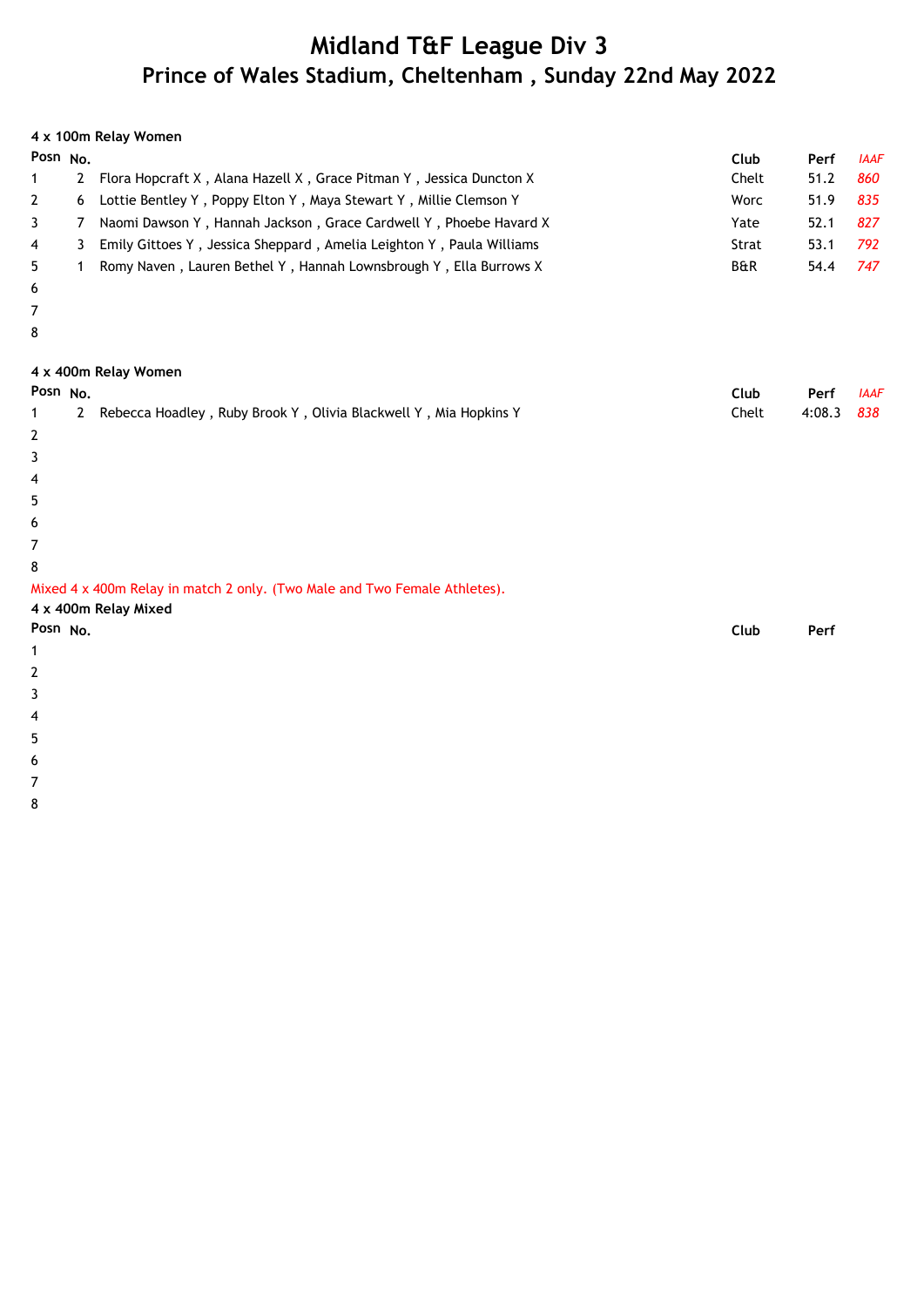|                     |                | 4 x 100m Relay Women                                                                              |                |        |             |
|---------------------|----------------|---------------------------------------------------------------------------------------------------|----------------|--------|-------------|
| Posn <sub>No.</sub> |                |                                                                                                   | Club           | Perf   | <b>IAAF</b> |
| $\mathbf{1}$        | $\overline{2}$ | Flora Hopcraft X, Alana Hazell X, Grace Pitman Y, Jessica Duncton X                               | Chelt          | 51.2   | 860         |
| 2                   | 6              | Lottie Bentley Y, Poppy Elton Y, Maya Stewart Y, Millie Clemson Y                                 | Worc           | 51.9   | 835         |
| 3                   | 7              | Naomi Dawson Y, Hannah Jackson, Grace Cardwell Y, Phoebe Havard X                                 | Yate           | 52.1   | 827         |
| 4                   | 3              | Emily Gittoes Y, Jessica Sheppard, Amelia Leighton Y, Paula Williams                              | Strat          | 53.1   | 792         |
| 5                   | $\mathbf{1}$   | Romy Naven, Lauren Bethel Y, Hannah Lownsbrough Y, Ella Burrows X                                 | <b>B&amp;R</b> | 54.4   | 747         |
| 6                   |                |                                                                                                   |                |        |             |
| 7                   |                |                                                                                                   |                |        |             |
| 8                   |                |                                                                                                   |                |        |             |
|                     |                | 4 x 400m Relay Women                                                                              |                |        |             |
| Posn No.            |                |                                                                                                   | Club           | Perf   | <b>IAAF</b> |
| $\mathbf 1$         | $2^{\circ}$    | Rebecca Hoadley, Ruby Brook Y, Olivia Blackwell Y, Mia Hopkins Y                                  | Chelt          | 4:08.3 | 838         |
| 2                   |                |                                                                                                   |                |        |             |
| 3                   |                |                                                                                                   |                |        |             |
| 4                   |                |                                                                                                   |                |        |             |
| 5                   |                |                                                                                                   |                |        |             |
| 6                   |                |                                                                                                   |                |        |             |
| 7                   |                |                                                                                                   |                |        |             |
| 8                   |                |                                                                                                   |                |        |             |
|                     |                | Mixed 4 x 400m Relay in match 2 only. (Two Male and Two Female Athletes).<br>4 x 400m Relay Mixed |                |        |             |
| Posn No.            |                |                                                                                                   | Club           | Perf   |             |
| $\mathbf 1$         |                |                                                                                                   |                |        |             |
| 2                   |                |                                                                                                   |                |        |             |
| 3                   |                |                                                                                                   |                |        |             |
| 4                   |                |                                                                                                   |                |        |             |
| 5                   |                |                                                                                                   |                |        |             |
| 6                   |                |                                                                                                   |                |        |             |

7

8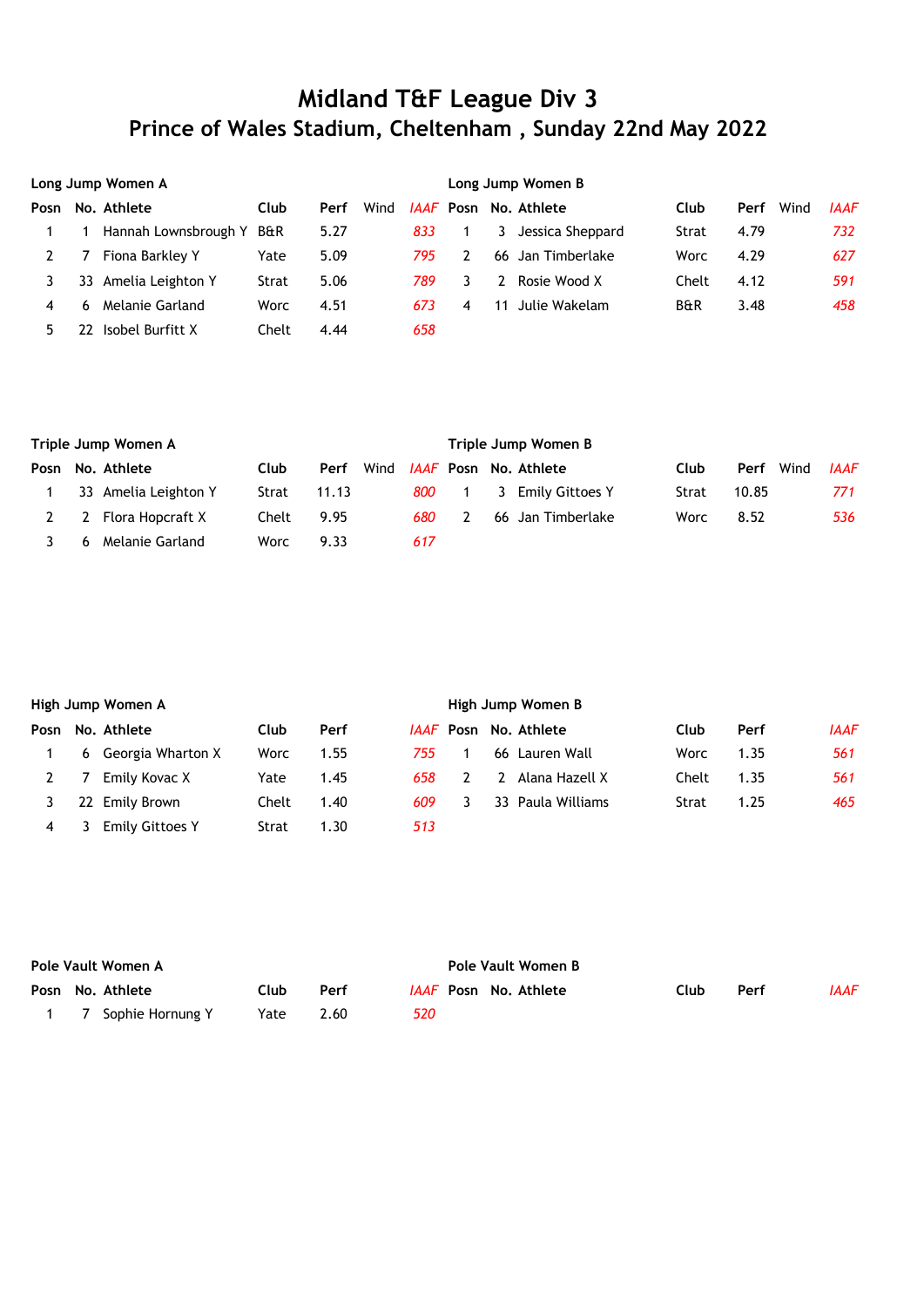|      | Long Jump Women A |                          |       |      |      |     | Long Jump Women B |    |                              |                |              |             |  |  |
|------|-------------------|--------------------------|-------|------|------|-----|-------------------|----|------------------------------|----------------|--------------|-------------|--|--|
| Posn |                   | No. Athlete              | Club  | Perf | Wind |     |                   |    | <i>IAAF</i> Posn No. Athlete | Club           | Wind<br>Perf | <b>IAAF</b> |  |  |
|      |                   | Hannah Lownsbrough Y B&R |       | 5.27 |      | 833 |                   |    | 3 Jessica Sheppard           | Strat          | 4.79         | 732         |  |  |
|      |                   | Fiona Barkley Y          | Yate  | 5.09 |      | 795 | 2                 |    | 66 Jan Timberlake            | Worc           | 4.29         | 627         |  |  |
|      | 33                | Amelia Leighton Y        | Strat | 5.06 |      | 789 | 3.                |    | Rosie Wood X                 | Chelt          | 4.12         | 591         |  |  |
| 4    |                   | Melanie Garland          | Worc  | 4.51 |      | 673 | 4                 | 11 | Julie Wakelam                | <b>B&amp;R</b> | 3.48         | 458         |  |  |
| 5.   |                   | Isobel Burfitt X         | Chelt | 4.44 |      | 658 |                   |    |                              |                |              |             |  |  |

| Triple Jump Women A |                      |             |       |      |     | Triple Jump Women B |  |                              |       |       |      |             |  |  |
|---------------------|----------------------|-------------|-------|------|-----|---------------------|--|------------------------------|-------|-------|------|-------------|--|--|
|                     | Posn No. Athlete     | <b>Club</b> | Perf  | Wind |     |                     |  | <i>IAAF</i> Posn No. Athlete | Club  | Perf  | Wind | <b>IAAF</b> |  |  |
|                     | 33 Amelia Leighton Y | Strat       | 11.13 |      | 800 |                     |  | 3 Emily Gittoes Y            | Strat | 10.85 |      | 771         |  |  |
|                     | 2 Flora Hopcraft X   | Chelt       | 9.95  |      | 680 |                     |  | 66 Jan Timberlake            | Worc  | 8.52  |      | 536         |  |  |
| 6                   | Melanie Garland      | Worc        | 9.33  |      | 617 |                     |  |                              |       |       |      |             |  |  |

|      | High Jump Women A |                        |       |      |      |  | High Jump Women B |                              |       |      |             |  |  |  |
|------|-------------------|------------------------|-------|------|------|--|-------------------|------------------------------|-------|------|-------------|--|--|--|
| Posn |                   | No. Athlete            | Club  | Perf |      |  |                   | <i>IAAF</i> Posn No. Athlete | Club  | Perf | <b>IAAF</b> |  |  |  |
|      |                   | 6 Georgia Wharton X    | Worc  | 1.55 | 755. |  |                   | 66 Lauren Wall               | Worc  | 1.35 | 561         |  |  |  |
|      |                   | Emily Kovac X          | Yate  | 1.45 | 658  |  |                   | Alana Hazell X               | Chelt | 1.35 | 561         |  |  |  |
|      | 22                | Emily Brown            | Chelt | 1.40 | 609. |  |                   | 33 Paula Williams            | Strat | 1.25 | 465         |  |  |  |
|      |                   | <b>Emily Gittoes Y</b> | Strat | 1.30 | 513  |  |                   |                              |       |      |             |  |  |  |

| Pole Vault Women A |                    |      |      |     | Pole Vault Women B |  |                              |      |      |      |  |  |
|--------------------|--------------------|------|------|-----|--------------------|--|------------------------------|------|------|------|--|--|
|                    | Posn No. Athlete   | Club | Perf |     |                    |  | <i>IAAF</i> Posn No. Athlete | Club | Perf | IAAF |  |  |
|                    | 7 Sophie Hornung Y | Yate | 2.60 | 520 |                    |  |                              |      |      |      |  |  |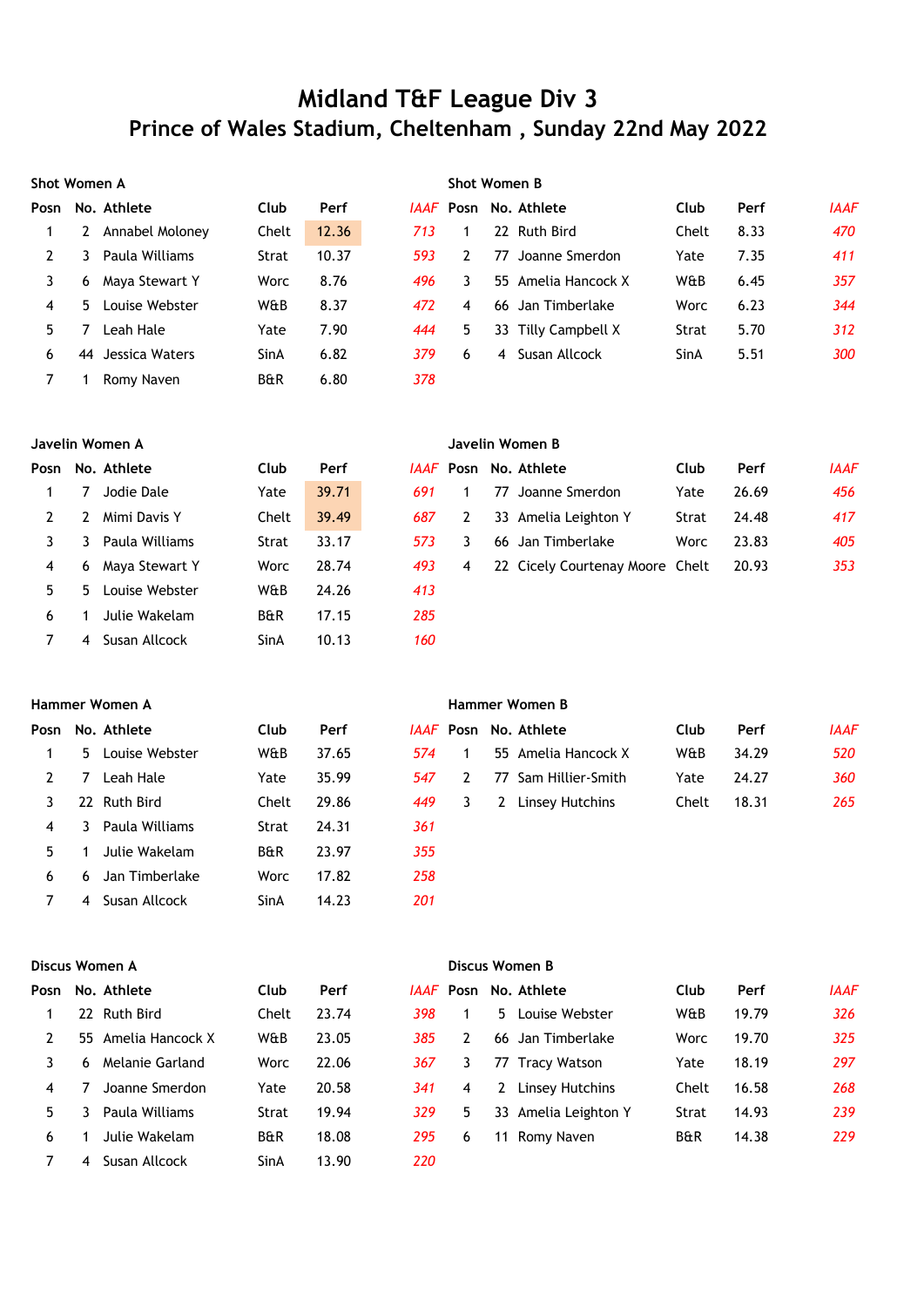|      | Shot Women A |                 |                |       |     | <b>Shot Women B</b> |     |                     |       |      |             |  |
|------|--------------|-----------------|----------------|-------|-----|---------------------|-----|---------------------|-------|------|-------------|--|
| Posn |              | No. Athlete     | Club           | Perf  |     | <i>IAAF</i> Posn    |     | No. Athlete         | Club  | Perf | <b>IAAF</b> |  |
|      |              | Annabel Moloney | Chelt          | 12.36 | 713 |                     |     | 22 Ruth Bird        | Chelt | 8.33 | 470         |  |
|      |              | Paula Williams  | Strat          | 10.37 | 593 | 2                   | 77  | Joanne Smerdon      | Yate  | 7.35 | 411         |  |
| 3    | 6            | Maya Stewart Y  | Worc           | 8.76  | 496 | 3.                  |     | 55 Amelia Hancock X | W&B   | 6.45 | 357         |  |
| 4    | 5.           | Louise Webster  | W&B            | 8.37  | 472 | 4                   | 66. | Jan Timberlake      | Worc  | 6.23 | 344         |  |
| 5.   |              | Leah Hale       | Yate           | 7.90  | 444 | 5.                  |     | 33 Tilly Campbell X | Strat | 5.70 | 312         |  |
| 6    | 44           | Jessica Waters  | SinA           | 6.82  | 379 | 6                   | 4   | Susan Allcock       | SinA  | 5.51 | 300         |  |
|      |              | Romy Naven      | <b>B&amp;R</b> | 6.80  | 378 |                     |     |                     |       |      |             |  |

| Javelin Women A |    |                  |                |       |     | Javelin Women B |    |                                 |       |       |             |
|-----------------|----|------------------|----------------|-------|-----|-----------------|----|---------------------------------|-------|-------|-------------|
| Posn            |    | No. Athlete      | Club           | Perf  |     |                 |    | <i>IAAF</i> Posn No. Athlete    | Club  | Perf  | <b>IAAF</b> |
|                 |    | Jodie Dale       | Yate           | 39.71 | 691 |                 | 77 | Joanne Smerdon                  | Yate  | 26.69 | 456         |
|                 | 2  | Mimi Davis Y     | Chelt          | 39.49 | 687 | 2               |    | 33 Amelia Leighton Y            | Strat | 24.48 | 417         |
|                 | 3. | Paula Williams   | Strat          | 33.17 | 573 | 3               | 66 | Jan Timberlake                  | Worc  | 23.83 | 405         |
| 4               |    | 6 Maya Stewart Y | Worc           | 28.74 | 493 | 4               |    | 22 Cicely Courtenay Moore Chelt |       | 20.93 | 353         |
| 5.              |    | 5 Louise Webster | W&B            | 24.26 | 413 |                 |    |                                 |       |       |             |
| 6               |    | Julie Wakelam    | <b>B&amp;R</b> | 17.15 | 285 |                 |    |                                 |       |       |             |
|                 | 4  | Susan Allcock    | SinA           | 10.13 | 160 |                 |    |                                 |       |       |             |

#### **Hammer Women A Hammer Women B Posn No. Athlete Club Perf** *IAAF* **Posn No. Athlete Club Perf** *IAAF* 1 5 Louise Webster W&B 37.65 *574* 1 55 Amelia Hancock X W&B 34.29 *520* 2 7 Leah Hale Yate 35.99 *547* 2 77 Sam Hillier-Smith Yate 24.27 *360* 3 22 Ruth Bird Chelt 29.86 *449* 3 2 Linsey Hutchins Chelt 18.31 *265* 4 3 Paula Williams Strat 24.31 *361* 5 1 Julie Wakelam B&R 23.97 *355* 6 6 Jan Timberlake Worc 17.82 *258* 7 4 Susan Allcock SinA 14.23 *201*

|      | Discus Women A |                     |                |       |      |    | Discus Women B |                              |                |       |      |  |
|------|----------------|---------------------|----------------|-------|------|----|----------------|------------------------------|----------------|-------|------|--|
| Posn |                | No. Athlete         | Club           | Perf  |      |    |                | <i>IAAF</i> Posn No. Athlete | Club           | Perf  | IAAF |  |
|      | 22             | Ruth Bird           | Chelt          | 23.74 | 398. |    | 5 I            | Louise Webster               | W&B            | 19.79 | 326  |  |
| 2    |                | 55 Amelia Hancock X | W&B            | 23.05 | 385  | 2  |                | 66 Jan Timberlake            | Worc           | 19.70 | 325  |  |
|      | 6              | Melanie Garland     | Worc           | 22.06 | 367  | 3  | 77             | Tracy Watson                 | Yate           | 18.19 | 297  |  |
| 4    |                | Joanne Smerdon      | Yate           | 20.58 | 341  | 4  | $2^{\circ}$    | Linsey Hutchins              | Chelt          | 16.58 | 268  |  |
| 5.   |                | Paula Williams      | Strat          | 19.94 | 329  | 5. | 33             | Amelia Leighton Y            | Strat          | 14.93 | 239  |  |
| 6    |                | Julie Wakelam       | <b>B&amp;R</b> | 18.08 | 295  | 6  | 11             | Romy Naven                   | <b>B&amp;R</b> | 14.38 | 229  |  |
|      |                | Susan Allcock       | SinA           | 13.90 | 220  |    |                |                              |                |       |      |  |